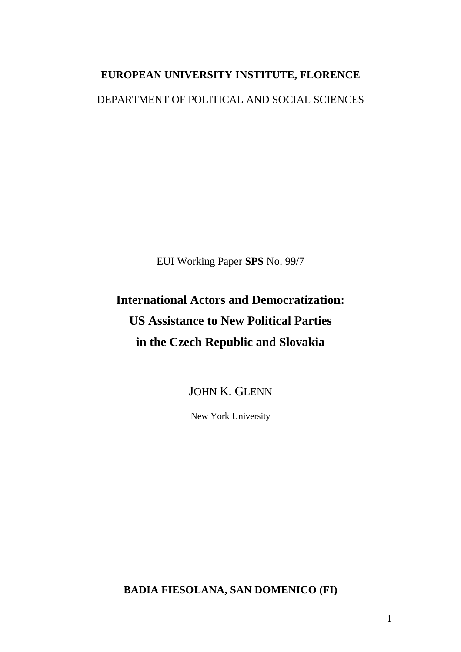### **EUROPEAN UNIVERSITY INSTITUTE, FLORENCE**

### DEPARTMENT OF POLITICAL AND SOCIAL SCIENCES

EUI Working Paper **SPS** No. 99/7

# **International Actors and Democratization: US Assistance to New Political Parties in the Czech Republic and Slovakia**

JOHN K. GLENN

New York University

**BADIA FIESOLANA, SAN DOMENICO (FI)**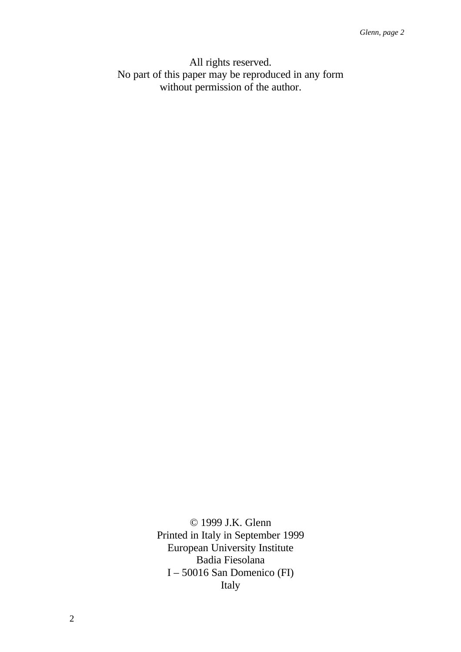All rights reserved. No part of this paper may be reproduced in any form without permission of the author.

> © 1999 J.K. Glenn Printed in Italy in September 1999 European University Institute Badia Fiesolana I – 50016 San Domenico (FI) Italy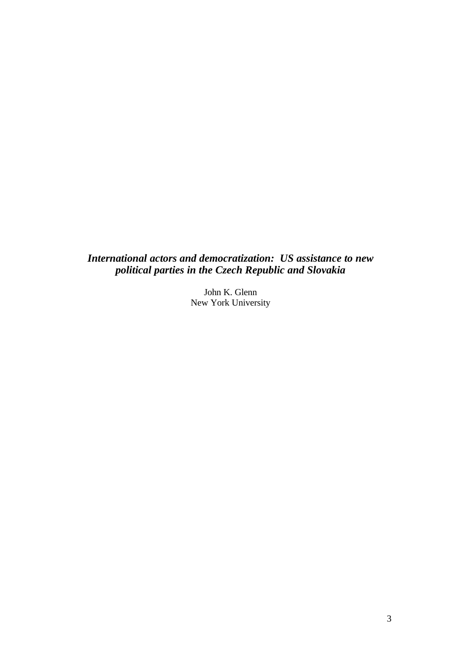## *International actors and democratization: US assistance to new political parties in the Czech Republic and Slovakia*

John K. Glenn New York University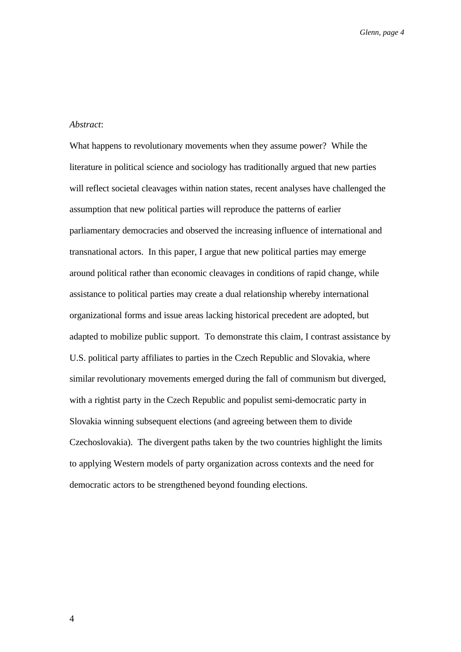#### *Abstract*:

What happens to revolutionary movements when they assume power? While the literature in political science and sociology has traditionally argued that new parties will reflect societal cleavages within nation states, recent analyses have challenged the assumption that new political parties will reproduce the patterns of earlier parliamentary democracies and observed the increasing influence of international and transnational actors. In this paper, I argue that new political parties may emerge around political rather than economic cleavages in conditions of rapid change, while assistance to political parties may create a dual relationship whereby international organizational forms and issue areas lacking historical precedent are adopted, but adapted to mobilize public support. To demonstrate this claim, I contrast assistance by U.S. political party affiliates to parties in the Czech Republic and Slovakia, where similar revolutionary movements emerged during the fall of communism but diverged, with a rightist party in the Czech Republic and populist semi-democratic party in Slovakia winning subsequent elections (and agreeing between them to divide Czechoslovakia). The divergent paths taken by the two countries highlight the limits to applying Western models of party organization across contexts and the need for democratic actors to be strengthened beyond founding elections.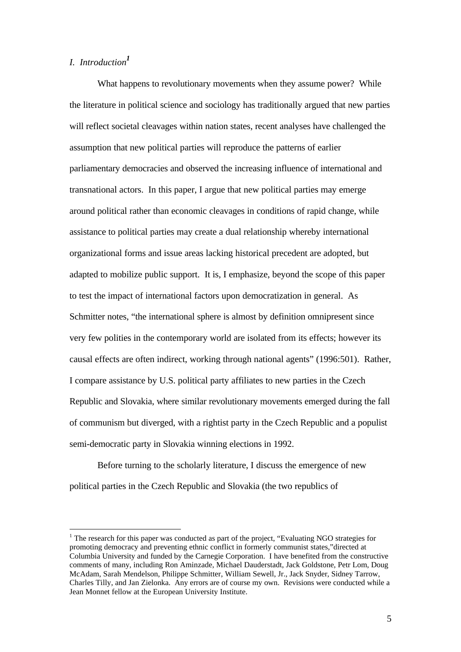#### *I. Introduction<sup>1</sup>*

 $\overline{a}$ 

What happens to revolutionary movements when they assume power? While the literature in political science and sociology has traditionally argued that new parties will reflect societal cleavages within nation states, recent analyses have challenged the assumption that new political parties will reproduce the patterns of earlier parliamentary democracies and observed the increasing influence of international and transnational actors. In this paper, I argue that new political parties may emerge around political rather than economic cleavages in conditions of rapid change, while assistance to political parties may create a dual relationship whereby international organizational forms and issue areas lacking historical precedent are adopted, but adapted to mobilize public support. It is, I emphasize, beyond the scope of this paper to test the impact of international factors upon democratization in general. As Schmitter notes, "the international sphere is almost by definition omnipresent since very few polities in the contemporary world are isolated from its effects; however its causal effects are often indirect, working through national agents" (1996:501). Rather, I compare assistance by U.S. political party affiliates to new parties in the Czech Republic and Slovakia, where similar revolutionary movements emerged during the fall of communism but diverged, with a rightist party in the Czech Republic and a populist semi-democratic party in Slovakia winning elections in 1992.

Before turning to the scholarly literature, I discuss the emergence of new political parties in the Czech Republic and Slovakia (the two republics of

<sup>&</sup>lt;sup>1</sup> The research for this paper was conducted as part of the project, "Evaluating NGO strategies for promoting democracy and preventing ethnic conflict in formerly communist states,"directed at Columbia University and funded by the Carnegie Corporation. I have benefited from the constructive comments of many, including Ron Aminzade, Michael Dauderstadt, Jack Goldstone, Petr Lom, Doug McAdam, Sarah Mendelson, Philippe Schmitter, William Sewell, Jr., Jack Snyder, Sidney Tarrow, Charles Tilly, and Jan Zielonka. Any errors are of course my own. Revisions were conducted while a Jean Monnet fellow at the European University Institute.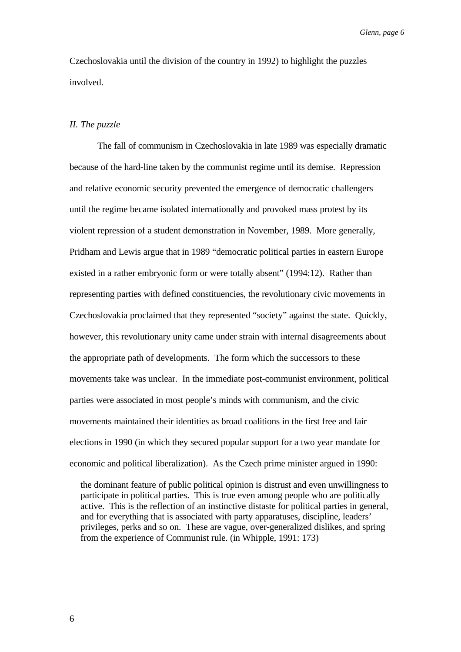Czechoslovakia until the division of the country in 1992) to highlight the puzzles involved.

#### *II. The puzzle*

The fall of communism in Czechoslovakia in late 1989 was especially dramatic because of the hard-line taken by the communist regime until its demise. Repression and relative economic security prevented the emergence of democratic challengers until the regime became isolated internationally and provoked mass protest by its violent repression of a student demonstration in November, 1989. More generally, Pridham and Lewis argue that in 1989 "democratic political parties in eastern Europe existed in a rather embryonic form or were totally absent" (1994:12). Rather than representing parties with defined constituencies, the revolutionary civic movements in Czechoslovakia proclaimed that they represented "society" against the state. Quickly, however, this revolutionary unity came under strain with internal disagreements about the appropriate path of developments. The form which the successors to these movements take was unclear. In the immediate post-communist environment, political parties were associated in most people's minds with communism, and the civic movements maintained their identities as broad coalitions in the first free and fair elections in 1990 (in which they secured popular support for a two year mandate for economic and political liberalization). As the Czech prime minister argued in 1990:

the dominant feature of public political opinion is distrust and even unwillingness to participate in political parties. This is true even among people who are politically active. This is the reflection of an instinctive distaste for political parties in general, and for everything that is associated with party apparatuses, discipline, leaders' privileges, perks and so on. These are vague, over-generalized dislikes, and spring from the experience of Communist rule. (in Whipple, 1991: 173)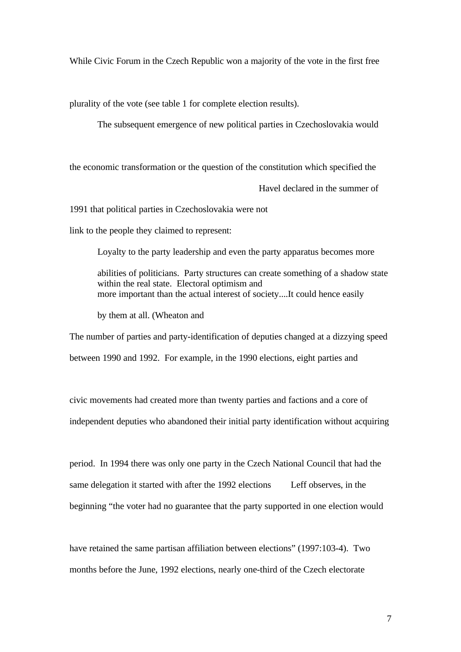While Civic Forum in the Czech Republic won a majority of the vote in the first free

plurality of the vote (see table 1 for complete election results).

The subsequent emergence of new political parties in Czechoslovakia would

the economic transformation or the question of the constitution which specified the

Havel declared in the summer of

1991 that political parties in Czechoslovakia were not

link to the people they claimed to represent:

Loyalty to the party leadership and even the party apparatus becomes more abilities of politicians. Party structures can create something of a shadow state within the real state. Electoral optimism and more important than the actual interest of society....It could hence easily

by them at all. (Wheaton and

The number of parties and party-identification of deputies changed at a dizzying speed between 1990 and 1992. For example, in the 1990 elections, eight parties and

civic movements had created more than twenty parties and factions and a core of independent deputies who abandoned their initial party identification without acquiring

period. In 1994 there was only one party in the Czech National Council that had the same delegation it started with after the 1992 elections Leff observes, in the beginning "the voter had no guarantee that the party supported in one election would

have retained the same partisan affiliation between elections" (1997:103-4). Two months before the June, 1992 elections, nearly one-third of the Czech electorate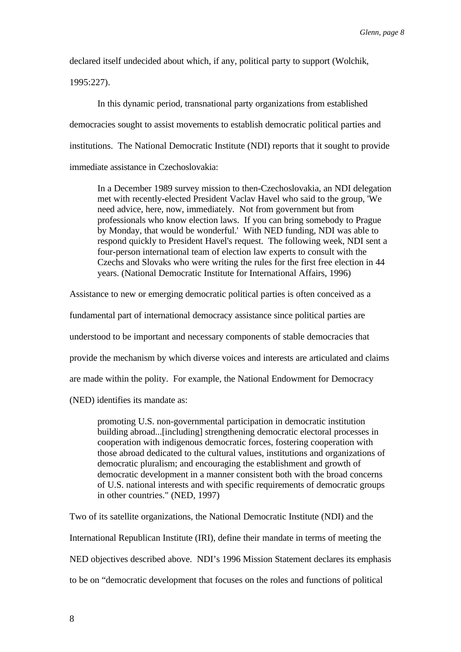declared itself undecided about which, if any, political party to support (Wolchik,

1995:227).

In this dynamic period, transnational party organizations from established democracies sought to assist movements to establish democratic political parties and institutions. The National Democratic Institute (NDI) reports that it sought to provide immediate assistance in Czechoslovakia:

In a December 1989 survey mission to then-Czechoslovakia, an NDI delegation met with recently-elected President Vaclav Havel who said to the group, 'We need advice, here, now, immediately. Not from government but from professionals who know election laws. If you can bring somebody to Prague by Monday, that would be wonderful.' With NED funding, NDI was able to respond quickly to President Havel's request. The following week, NDI sent a four-person international team of election law experts to consult with the Czechs and Slovaks who were writing the rules for the first free election in 44 years. (National Democratic Institute for International Affairs, 1996)

Assistance to new or emerging democratic political parties is often conceived as a

fundamental part of international democracy assistance since political parties are

understood to be important and necessary components of stable democracies that

provide the mechanism by which diverse voices and interests are articulated and claims

are made within the polity. For example, the National Endowment for Democracy

(NED) identifies its mandate as:

promoting U.S. non-governmental participation in democratic institution building abroad...[including] strengthening democratic electoral processes in cooperation with indigenous democratic forces, fostering cooperation with those abroad dedicated to the cultural values, institutions and organizations of democratic pluralism; and encouraging the establishment and growth of democratic development in a manner consistent both with the broad concerns of U.S. national interests and with specific requirements of democratic groups in other countries." (NED, 1997)

Two of its satellite organizations, the National Democratic Institute (NDI) and the

International Republican Institute (IRI), define their mandate in terms of meeting the

NED objectives described above. NDI's 1996 Mission Statement declares its emphasis

to be on "democratic development that focuses on the roles and functions of political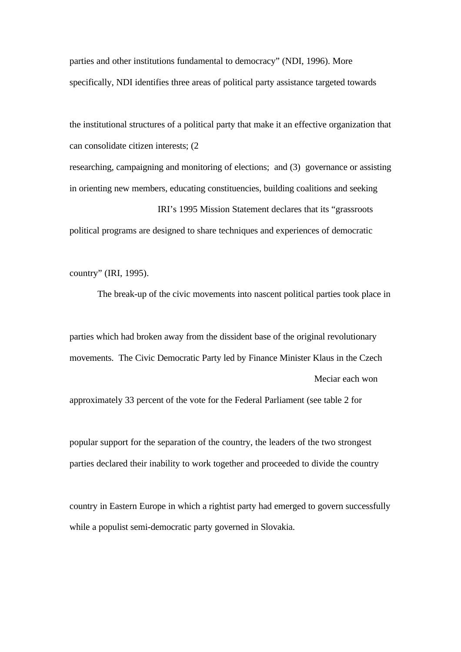parties and other institutions fundamental to democracy" (NDI, 1996). More specifically, NDI identifies three areas of political party assistance targeted towards

the institutional structures of a political party that make it an effective organization that can consolidate citizen interests; (2

researching, campaigning and monitoring of elections; and (3) governance or assisting in orienting new members, educating constituencies, building coalitions and seeking

IRI's 1995 Mission Statement declares that its "grassroots political programs are designed to share techniques and experiences of democratic

country" (IRI, 1995).

The break-up of the civic movements into nascent political parties took place in

parties which had broken away from the dissident base of the original revolutionary movements. The Civic Democratic Party led by Finance Minister Klaus in the Czech Meciar each won

approximately 33 percent of the vote for the Federal Parliament (see table 2 for

popular support for the separation of the country, the leaders of the two strongest parties declared their inability to work together and proceeded to divide the country

country in Eastern Europe in which a rightist party had emerged to govern successfully while a populist semi-democratic party governed in Slovakia.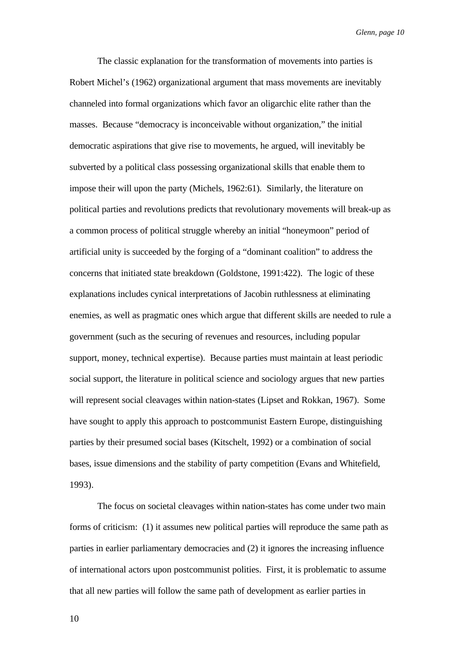The classic explanation for the transformation of movements into parties is Robert Michel's (1962) organizational argument that mass movements are inevitably channeled into formal organizations which favor an oligarchic elite rather than the masses. Because "democracy is inconceivable without organization," the initial democratic aspirations that give rise to movements, he argued, will inevitably be subverted by a political class possessing organizational skills that enable them to impose their will upon the party (Michels, 1962:61). Similarly, the literature on political parties and revolutions predicts that revolutionary movements will break-up as a common process of political struggle whereby an initial "honeymoon" period of artificial unity is succeeded by the forging of a "dominant coalition" to address the concerns that initiated state breakdown (Goldstone, 1991:422). The logic of these explanations includes cynical interpretations of Jacobin ruthlessness at eliminating enemies, as well as pragmatic ones which argue that different skills are needed to rule a government (such as the securing of revenues and resources, including popular support, money, technical expertise). Because parties must maintain at least periodic social support, the literature in political science and sociology argues that new parties will represent social cleavages within nation-states (Lipset and Rokkan, 1967). Some have sought to apply this approach to postcommunist Eastern Europe, distinguishing parties by their presumed social bases (Kitschelt, 1992) or a combination of social bases, issue dimensions and the stability of party competition (Evans and Whitefield, 1993).

The focus on societal cleavages within nation-states has come under two main forms of criticism: (1) it assumes new political parties will reproduce the same path as parties in earlier parliamentary democracies and (2) it ignores the increasing influence of international actors upon postcommunist polities. First, it is problematic to assume that all new parties will follow the same path of development as earlier parties in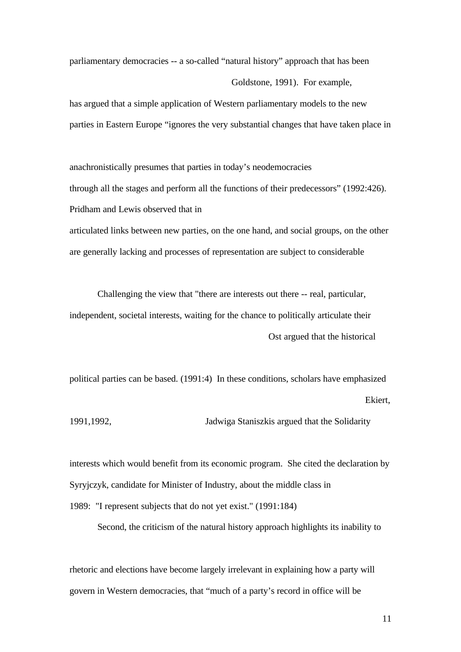parliamentary democracies -- a so-called "natural history" approach that has been Goldstone, 1991). For example,

has argued that a simple application of Western parliamentary models to the new parties in Eastern Europe "ignores the very substantial changes that have taken place in

anachronistically presumes that parties in today's neodemocracies through all the stages and perform all the functions of their predecessors" (1992:426). Pridham and Lewis observed that in articulated links between new parties, on the one hand, and social groups, on the other

are generally lacking and processes of representation are subject to considerable

Challenging the view that "there are interests out there -- real, particular, independent, societal interests, waiting for the chance to politically articulate their Ost argued that the historical

political parties can be based. (1991:4) In these conditions, scholars have emphasized Ekiert,

1991,1992, Jadwiga Staniszkis argued that the Solidarity

interests which would benefit from its economic program. She cited the declaration by Syryjczyk, candidate for Minister of Industry, about the middle class in 1989: "I represent subjects that do not yet exist." (1991:184)

Second, the criticism of the natural history approach highlights its inability to

rhetoric and elections have become largely irrelevant in explaining how a party will govern in Western democracies, that "much of a party's record in office will be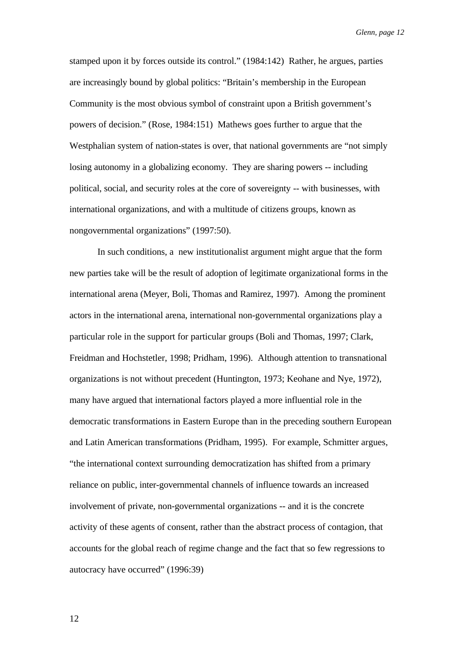stamped upon it by forces outside its control." (1984:142) Rather, he argues, parties are increasingly bound by global politics: "Britain's membership in the European Community is the most obvious symbol of constraint upon a British government's powers of decision." (Rose, 1984:151) Mathews goes further to argue that the Westphalian system of nation-states is over, that national governments are "not simply losing autonomy in a globalizing economy. They are sharing powers -- including political, social, and security roles at the core of sovereignty -- with businesses, with international organizations, and with a multitude of citizens groups, known as nongovernmental organizations" (1997:50).

In such conditions, a new institutionalist argument might argue that the form new parties take will be the result of adoption of legitimate organizational forms in the international arena (Meyer, Boli, Thomas and Ramirez, 1997). Among the prominent actors in the international arena, international non-governmental organizations play a particular role in the support for particular groups (Boli and Thomas, 1997; Clark, Freidman and Hochstetler, 1998; Pridham, 1996). Although attention to transnational organizations is not without precedent (Huntington, 1973; Keohane and Nye, 1972), many have argued that international factors played a more influential role in the democratic transformations in Eastern Europe than in the preceding southern European and Latin American transformations (Pridham, 1995). For example, Schmitter argues, "the international context surrounding democratization has shifted from a primary reliance on public, inter-governmental channels of influence towards an increased involvement of private, non-governmental organizations -- and it is the concrete activity of these agents of consent, rather than the abstract process of contagion, that accounts for the global reach of regime change and the fact that so few regressions to autocracy have occurred" (1996:39)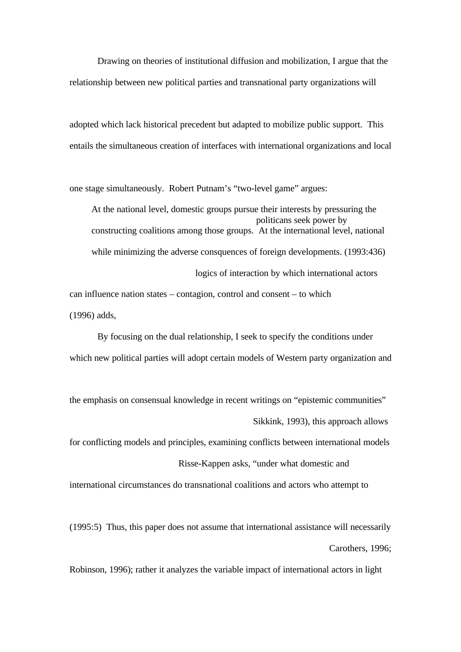Drawing on theories of institutional diffusion and mobilization, I argue that the relationship between new political parties and transnational party organizations will

adopted which lack historical precedent but adapted to mobilize public support. This entails the simultaneous creation of interfaces with international organizations and local

one stage simultaneously. Robert Putnam's "two-level game" argues:

At the national level, domestic groups pursue their interests by pressuring the politicans seek power by constructing coalitions among those groups. At the international level, national while minimizing the adverse consquences of foreign developments. (1993:436) logics of interaction by which international actors can influence nation states – contagion, control and consent – to which

(1996) adds,

By focusing on the dual relationship, I seek to specify the conditions under which new political parties will adopt certain models of Western party organization and

the emphasis on consensual knowledge in recent writings on "epistemic communities" Sikkink, 1993), this approach allows

for conflicting models and principles, examining conflicts between international models Risse-Kappen asks, "under what domestic and

international circumstances do transnational coalitions and actors who attempt to

(1995:5) Thus, this paper does not assume that international assistance will necessarily Carothers, 1996;

Robinson, 1996); rather it analyzes the variable impact of international actors in light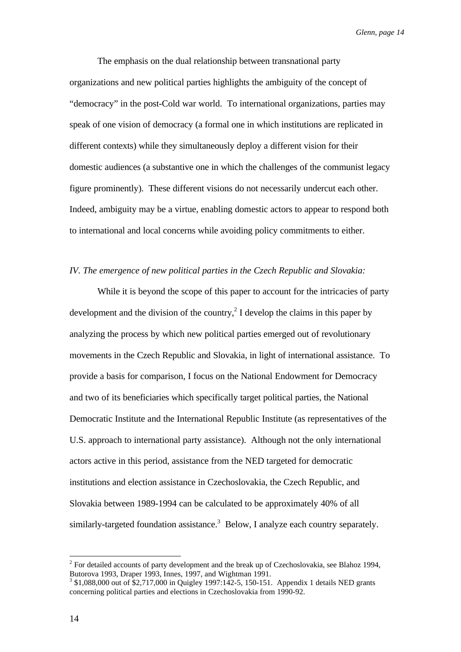The emphasis on the dual relationship between transnational party organizations and new political parties highlights the ambiguity of the concept of "democracy" in the post-Cold war world. To international organizations, parties may speak of one vision of democracy (a formal one in which institutions are replicated in different contexts) while they simultaneously deploy a different vision for their domestic audiences (a substantive one in which the challenges of the communist legacy figure prominently). These different visions do not necessarily undercut each other. Indeed, ambiguity may be a virtue, enabling domestic actors to appear to respond both to international and local concerns while avoiding policy commitments to either.

#### *IV. The emergence of new political parties in the Czech Republic and Slovakia:*

While it is beyond the scope of this paper to account for the intricacies of party development and the division of the country, $^2$  I develop the claims in this paper by analyzing the process by which new political parties emerged out of revolutionary movements in the Czech Republic and Slovakia, in light of international assistance. To provide a basis for comparison, I focus on the National Endowment for Democracy and two of its beneficiaries which specifically target political parties, the National Democratic Institute and the International Republic Institute (as representatives of the U.S. approach to international party assistance). Although not the only international actors active in this period, assistance from the NED targeted for democratic institutions and election assistance in Czechoslovakia, the Czech Republic, and Slovakia between 1989-1994 can be calculated to be approximately 40% of all similarly-targeted foundation assistance.<sup>3</sup> Below, I analyze each country separately.

 $2^2$  For detailed accounts of party development and the break up of Czechoslovakia, see Blahoz 1994, Butorova 1993, Draper 1993, Innes, 1997, and Wightman 1991.

<sup>&</sup>lt;sup>3</sup> \$1,088,000 out of \$2,717,000 in Quigley 1997:142-5, 150-151. Appendix 1 details NED grants concerning political parties and elections in Czechoslovakia from 1990-92.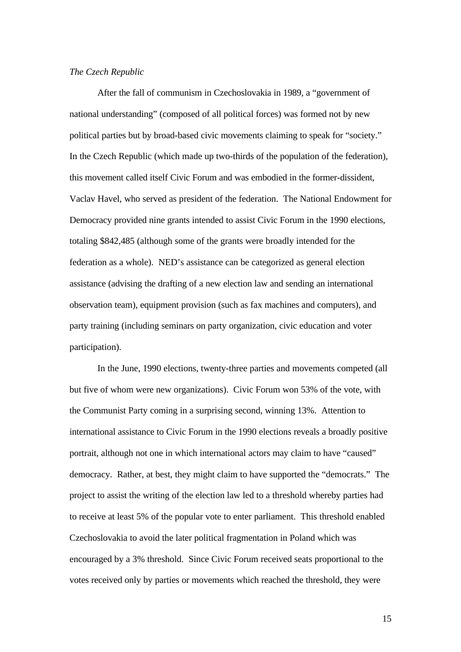#### *The Czech Republic*

After the fall of communism in Czechoslovakia in 1989, a "government of national understanding" (composed of all political forces) was formed not by new political parties but by broad-based civic movements claiming to speak for "society." In the Czech Republic (which made up two-thirds of the population of the federation), this movement called itself Civic Forum and was embodied in the former-dissident, Vaclav Havel, who served as president of the federation. The National Endowment for Democracy provided nine grants intended to assist Civic Forum in the 1990 elections, totaling \$842,485 (although some of the grants were broadly intended for the federation as a whole). NED's assistance can be categorized as general election assistance (advising the drafting of a new election law and sending an international observation team), equipment provision (such as fax machines and computers), and party training (including seminars on party organization, civic education and voter participation).

In the June, 1990 elections, twenty-three parties and movements competed (all but five of whom were new organizations). Civic Forum won 53% of the vote, with the Communist Party coming in a surprising second, winning 13%. Attention to international assistance to Civic Forum in the 1990 elections reveals a broadly positive portrait, although not one in which international actors may claim to have "caused" democracy. Rather, at best, they might claim to have supported the "democrats." The project to assist the writing of the election law led to a threshold whereby parties had to receive at least 5% of the popular vote to enter parliament. This threshold enabled Czechoslovakia to avoid the later political fragmentation in Poland which was encouraged by a 3% threshold. Since Civic Forum received seats proportional to the votes received only by parties or movements which reached the threshold, they were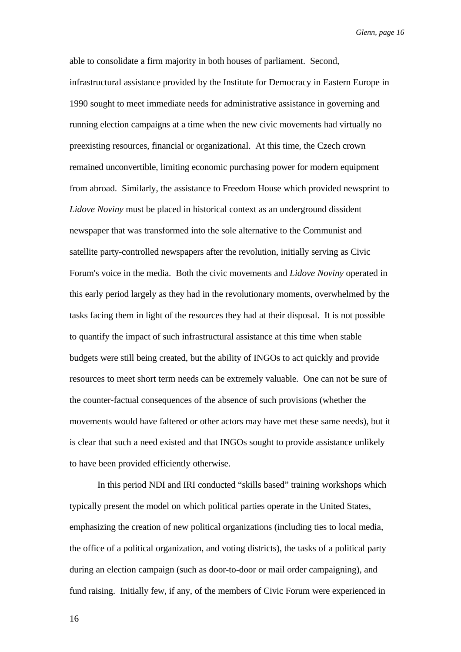able to consolidate a firm majority in both houses of parliament. Second, infrastructural assistance provided by the Institute for Democracy in Eastern Europe in 1990 sought to meet immediate needs for administrative assistance in governing and running election campaigns at a time when the new civic movements had virtually no preexisting resources, financial or organizational. At this time, the Czech crown remained unconvertible, limiting economic purchasing power for modern equipment from abroad. Similarly, the assistance to Freedom House which provided newsprint to *Lidove Noviny* must be placed in historical context as an underground dissident newspaper that was transformed into the sole alternative to the Communist and satellite party-controlled newspapers after the revolution, initially serving as Civic Forum's voice in the media. Both the civic movements and *Lidove Noviny* operated in this early period largely as they had in the revolutionary moments, overwhelmed by the tasks facing them in light of the resources they had at their disposal. It is not possible to quantify the impact of such infrastructural assistance at this time when stable budgets were still being created, but the ability of INGOs to act quickly and provide resources to meet short term needs can be extremely valuable. One can not be sure of the counter-factual consequences of the absence of such provisions (whether the movements would have faltered or other actors may have met these same needs), but it is clear that such a need existed and that INGOs sought to provide assistance unlikely to have been provided efficiently otherwise.

In this period NDI and IRI conducted "skills based" training workshops which typically present the model on which political parties operate in the United States, emphasizing the creation of new political organizations (including ties to local media, the office of a political organization, and voting districts), the tasks of a political party during an election campaign (such as door-to-door or mail order campaigning), and fund raising. Initially few, if any, of the members of Civic Forum were experienced in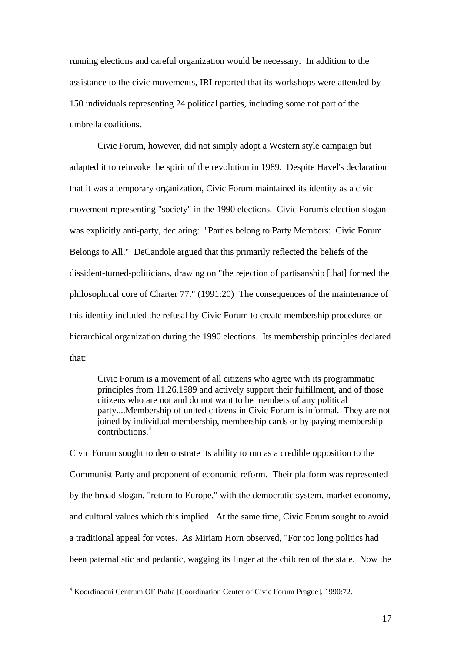running elections and careful organization would be necessary. In addition to the assistance to the civic movements, IRI reported that its workshops were attended by 150 individuals representing 24 political parties, including some not part of the umbrella coalitions.

Civic Forum, however, did not simply adopt a Western style campaign but adapted it to reinvoke the spirit of the revolution in 1989. Despite Havel's declaration that it was a temporary organization, Civic Forum maintained its identity as a civic movement representing "society" in the 1990 elections. Civic Forum's election slogan was explicitly anti-party, declaring: "Parties belong to Party Members: Civic Forum Belongs to All." DeCandole argued that this primarily reflected the beliefs of the dissident-turned-politicians, drawing on "the rejection of partisanship [that] formed the philosophical core of Charter 77." (1991:20) The consequences of the maintenance of this identity included the refusal by Civic Forum to create membership procedures or hierarchical organization during the 1990 elections. Its membership principles declared that:

Civic Forum is a movement of all citizens who agree with its programmatic principles from 11.26.1989 and actively support their fulfillment, and of those citizens who are not and do not want to be members of any political party....Membership of united citizens in Civic Forum is informal. They are not joined by individual membership, membership cards or by paying membership contributions.<sup>4</sup>

Civic Forum sought to demonstrate its ability to run as a credible opposition to the Communist Party and proponent of economic reform. Their platform was represented by the broad slogan, "return to Europe," with the democratic system, market economy, and cultural values which this implied. At the same time, Civic Forum sought to avoid a traditional appeal for votes. As Miriam Horn observed, "For too long politics had been paternalistic and pedantic, wagging its finger at the children of the state. Now the

<sup>4</sup> Koordinacni Centrum OF Praha [Coordination Center of Civic Forum Prague], 1990:72.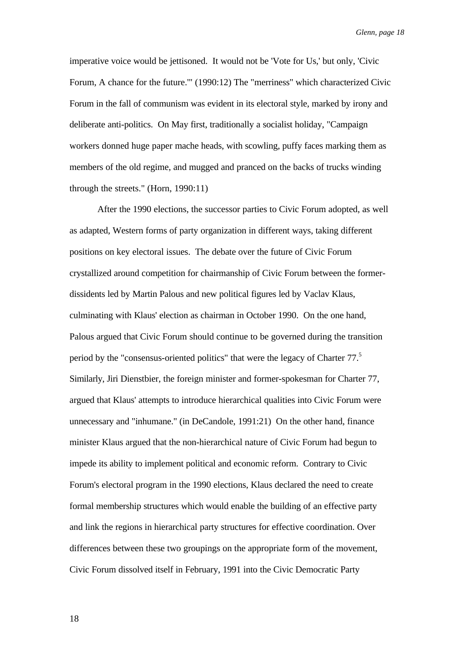imperative voice would be jettisoned. It would not be 'Vote for Us,' but only, 'Civic Forum, A chance for the future.'" (1990:12) The "merriness" which characterized Civic Forum in the fall of communism was evident in its electoral style, marked by irony and deliberate anti-politics. On May first, traditionally a socialist holiday, "Campaign workers donned huge paper mache heads, with scowling, puffy faces marking them as members of the old regime, and mugged and pranced on the backs of trucks winding through the streets." (Horn, 1990:11)

After the 1990 elections, the successor parties to Civic Forum adopted, as well as adapted, Western forms of party organization in different ways, taking different positions on key electoral issues. The debate over the future of Civic Forum crystallized around competition for chairmanship of Civic Forum between the formerdissidents led by Martin Palous and new political figures led by Vaclav Klaus, culminating with Klaus' election as chairman in October 1990. On the one hand, Palous argued that Civic Forum should continue to be governed during the transition period by the "consensus-oriented politics" that were the legacy of Charter 77.<sup>5</sup> Similarly, Jiri Dienstbier, the foreign minister and former-spokesman for Charter 77, argued that Klaus' attempts to introduce hierarchical qualities into Civic Forum were unnecessary and "inhumane." (in DeCandole, 1991:21) On the other hand, finance minister Klaus argued that the non-hierarchical nature of Civic Forum had begun to impede its ability to implement political and economic reform. Contrary to Civic Forum's electoral program in the 1990 elections, Klaus declared the need to create formal membership structures which would enable the building of an effective party and link the regions in hierarchical party structures for effective coordination. Over differences between these two groupings on the appropriate form of the movement, Civic Forum dissolved itself in February, 1991 into the Civic Democratic Party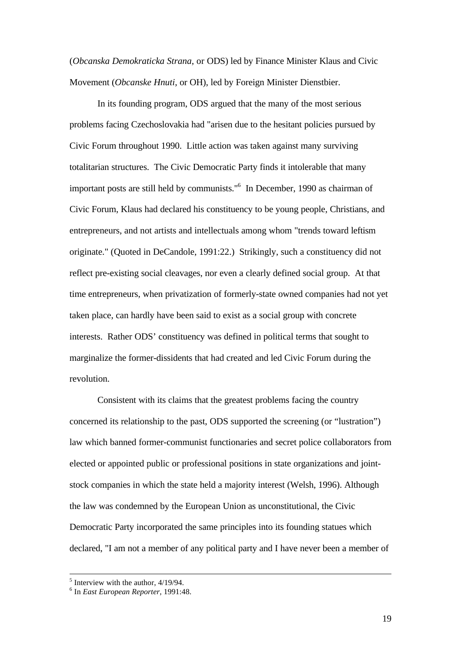(*Obcanska Demokraticka Strana*, or ODS) led by Finance Minister Klaus and Civic Movement (*Obcanske Hnuti*, or OH), led by Foreign Minister Dienstbier.

In its founding program, ODS argued that the many of the most serious problems facing Czechoslovakia had "arisen due to the hesitant policies pursued by Civic Forum throughout 1990. Little action was taken against many surviving totalitarian structures. The Civic Democratic Party finds it intolerable that many important posts are still held by communists."<sup>6</sup> In December, 1990 as chairman of Civic Forum, Klaus had declared his constituency to be young people, Christians, and entrepreneurs, and not artists and intellectuals among whom "trends toward leftism originate." (Quoted in DeCandole, 1991:22.) Strikingly, such a constituency did not reflect pre-existing social cleavages, nor even a clearly defined social group. At that time entrepreneurs, when privatization of formerly-state owned companies had not yet taken place, can hardly have been said to exist as a social group with concrete interests. Rather ODS' constituency was defined in political terms that sought to marginalize the former-dissidents that had created and led Civic Forum during the revolution.

Consistent with its claims that the greatest problems facing the country concerned its relationship to the past, ODS supported the screening (or "lustration") law which banned former-communist functionaries and secret police collaborators from elected or appointed public or professional positions in state organizations and jointstock companies in which the state held a majority interest (Welsh, 1996). Although the law was condemned by the European Union as unconstitutional, the Civic Democratic Party incorporated the same principles into its founding statues which declared, "I am not a member of any political party and I have never been a member of

<sup>&</sup>lt;sup>5</sup> Interview with the author, 4/19/94.

<sup>6</sup> In *East European Reporter*, 1991:48.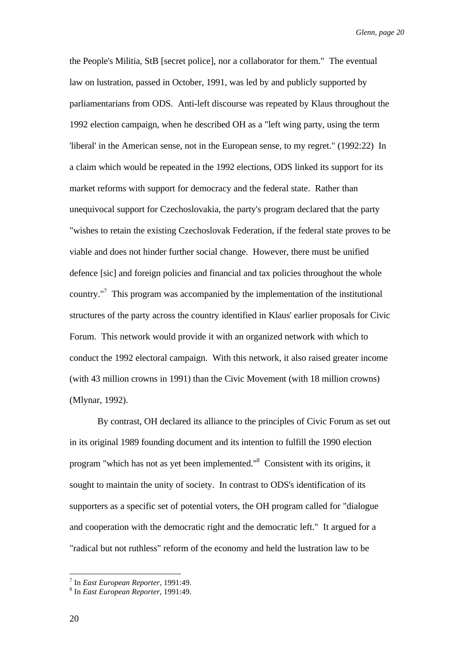the People's Militia, StB [secret police], nor a collaborator for them." The eventual law on lustration, passed in October, 1991, was led by and publicly supported by parliamentarians from ODS. Anti-left discourse was repeated by Klaus throughout the 1992 election campaign, when he described OH as a "left wing party, using the term 'liberal' in the American sense, not in the European sense, to my regret." (1992:22) In a claim which would be repeated in the 1992 elections, ODS linked its support for its market reforms with support for democracy and the federal state. Rather than unequivocal support for Czechoslovakia, the party's program declared that the party "wishes to retain the existing Czechoslovak Federation, if the federal state proves to be viable and does not hinder further social change. However, there must be unified defence [sic] and foreign policies and financial and tax policies throughout the whole country."<sup>7</sup> This program was accompanied by the implementation of the institutional structures of the party across the country identified in Klaus' earlier proposals for Civic Forum. This network would provide it with an organized network with which to conduct the 1992 electoral campaign. With this network, it also raised greater income (with 43 million crowns in 1991) than the Civic Movement (with 18 million crowns) (Mlynar, 1992).

By contrast, OH declared its alliance to the principles of Civic Forum as set out in its original 1989 founding document and its intention to fulfill the 1990 election program "which has not as yet been implemented."<sup>8</sup> Consistent with its origins, it sought to maintain the unity of society. In contrast to ODS's identification of its supporters as a specific set of potential voters, the OH program called for "dialogue and cooperation with the democratic right and the democratic left." It argued for a "radical but not ruthless" reform of the economy and held the lustration law to be

<sup>7</sup> In *East European Reporter*, 1991:49.

<sup>8</sup> In *East European Reporter*, 1991:49.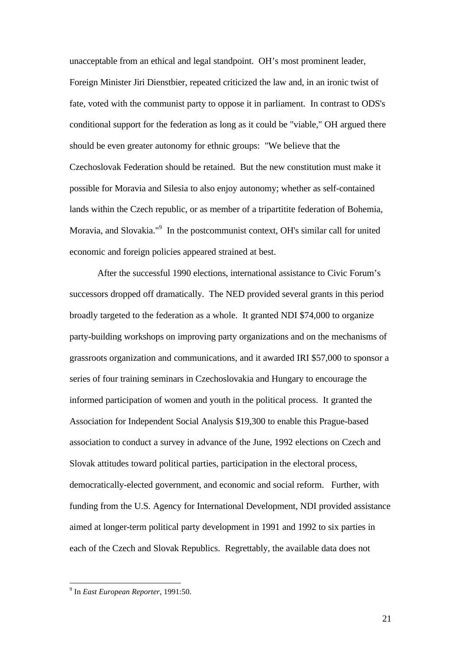unacceptable from an ethical and legal standpoint. OH's most prominent leader, Foreign Minister Jiri Dienstbier, repeated criticized the law and, in an ironic twist of fate, voted with the communist party to oppose it in parliament. In contrast to ODS's conditional support for the federation as long as it could be "viable," OH argued there should be even greater autonomy for ethnic groups: "We believe that the Czechoslovak Federation should be retained. But the new constitution must make it possible for Moravia and Silesia to also enjoy autonomy; whether as self-contained lands within the Czech republic, or as member of a tripartitite federation of Bohemia, Moravia, and Slovakia."<sup>9</sup> In the postcommunist context, OH's similar call for united economic and foreign policies appeared strained at best.

After the successful 1990 elections, international assistance to Civic Forum's successors dropped off dramatically. The NED provided several grants in this period broadly targeted to the federation as a whole. It granted NDI \$74,000 to organize party-building workshops on improving party organizations and on the mechanisms of grassroots organization and communications, and it awarded IRI \$57,000 to sponsor a series of four training seminars in Czechoslovakia and Hungary to encourage the informed participation of women and youth in the political process. It granted the Association for Independent Social Analysis \$19,300 to enable this Prague-based association to conduct a survey in advance of the June, 1992 elections on Czech and Slovak attitudes toward political parties, participation in the electoral process, democratically-elected government, and economic and social reform. Further, with funding from the U.S. Agency for International Development, NDI provided assistance aimed at longer-term political party development in 1991 and 1992 to six parties in each of the Czech and Slovak Republics. Regrettably, the available data does not

 9 In *East European Reporter*, 1991:50.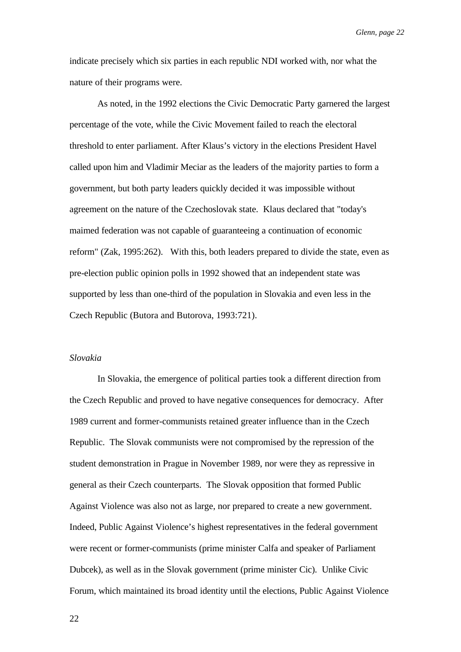indicate precisely which six parties in each republic NDI worked with, nor what the nature of their programs were.

As noted, in the 1992 elections the Civic Democratic Party garnered the largest percentage of the vote, while the Civic Movement failed to reach the electoral threshold to enter parliament. After Klaus's victory in the elections President Havel called upon him and Vladimir Meciar as the leaders of the majority parties to form a government, but both party leaders quickly decided it was impossible without agreement on the nature of the Czechoslovak state. Klaus declared that "today's maimed federation was not capable of guaranteeing a continuation of economic reform" (Zak, 1995:262). With this, both leaders prepared to divide the state, even as pre-election public opinion polls in 1992 showed that an independent state was supported by less than one-third of the population in Slovakia and even less in the Czech Republic (Butora and Butorova, 1993:721).

#### *Slovakia*

In Slovakia, the emergence of political parties took a different direction from the Czech Republic and proved to have negative consequences for democracy. After 1989 current and former-communists retained greater influence than in the Czech Republic. The Slovak communists were not compromised by the repression of the student demonstration in Prague in November 1989, nor were they as repressive in general as their Czech counterparts. The Slovak opposition that formed Public Against Violence was also not as large, nor prepared to create a new government. Indeed, Public Against Violence's highest representatives in the federal government were recent or former-communists (prime minister Calfa and speaker of Parliament Dubcek), as well as in the Slovak government (prime minister Cic). Unlike Civic Forum, which maintained its broad identity until the elections, Public Against Violence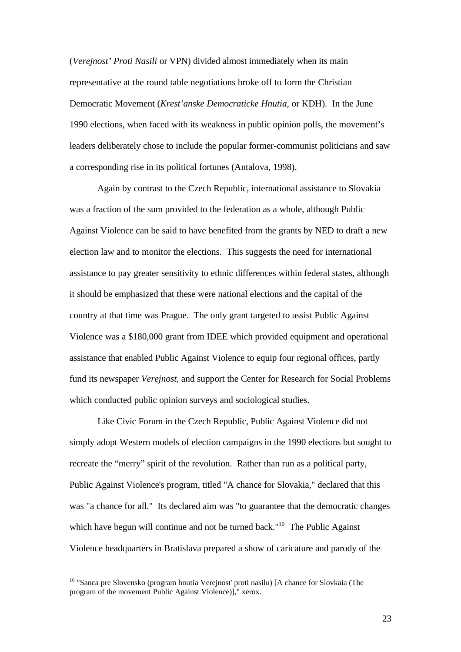(*Verejnost' Proti Nasili* or VPN) divided almost immediately when its main representative at the round table negotiations broke off to form the Christian Democratic Movement (*Krest'anske Democraticke Hnutia*, or KDH). In the June 1990 elections, when faced with its weakness in public opinion polls, the movement's leaders deliberately chose to include the popular former-communist politicians and saw a corresponding rise in its political fortunes (Antalova, 1998).

Again by contrast to the Czech Republic, international assistance to Slovakia was a fraction of the sum provided to the federation as a whole, although Public Against Violence can be said to have benefited from the grants by NED to draft a new election law and to monitor the elections. This suggests the need for international assistance to pay greater sensitivity to ethnic differences within federal states, although it should be emphasized that these were national elections and the capital of the country at that time was Prague. The only grant targeted to assist Public Against Violence was a \$180,000 grant from IDEE which provided equipment and operational assistance that enabled Public Against Violence to equip four regional offices, partly fund its newspaper *Verejnost*, and support the Center for Research for Social Problems which conducted public opinion surveys and sociological studies.

Like Civic Forum in the Czech Republic, Public Against Violence did not simply adopt Western models of election campaigns in the 1990 elections but sought to recreate the "merry" spirit of the revolution. Rather than run as a political party, Public Against Violence's program, titled "A chance for Slovakia," declared that this was "a chance for all." Its declared aim was "to guarantee that the democratic changes which have begun will continue and not be turned back."<sup>10</sup> The Public Against Violence headquarters in Bratislava prepared a show of caricature and parody of the

<sup>&</sup>lt;sup>10</sup> "Sanca pre Slovensko (program hnutia Verejnost' proti nasilu) [A chance for Slovkaia (The program of the movement Public Against Violence)]," xerox.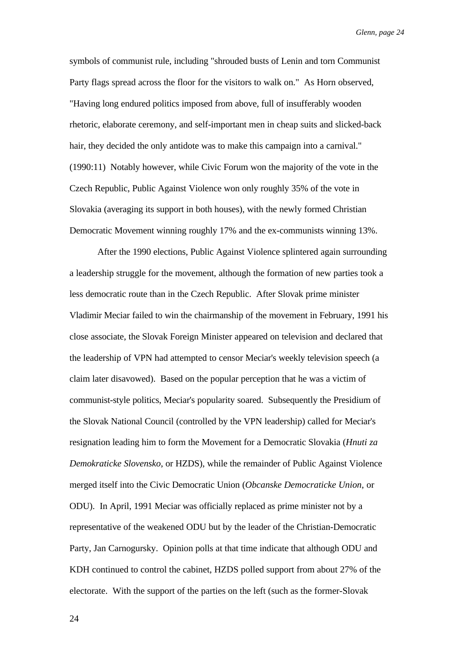symbols of communist rule, including "shrouded busts of Lenin and torn Communist Party flags spread across the floor for the visitors to walk on." As Horn observed, "Having long endured politics imposed from above, full of insufferably wooden rhetoric, elaborate ceremony, and self-important men in cheap suits and slicked-back hair, they decided the only antidote was to make this campaign into a carnival." (1990:11) Notably however, while Civic Forum won the majority of the vote in the Czech Republic, Public Against Violence won only roughly 35% of the vote in Slovakia (averaging its support in both houses), with the newly formed Christian Democratic Movement winning roughly 17% and the ex-communists winning 13%.

After the 1990 elections, Public Against Violence splintered again surrounding a leadership struggle for the movement, although the formation of new parties took a less democratic route than in the Czech Republic. After Slovak prime minister Vladimir Meciar failed to win the chairmanship of the movement in February, 1991 his close associate, the Slovak Foreign Minister appeared on television and declared that the leadership of VPN had attempted to censor Meciar's weekly television speech (a claim later disavowed). Based on the popular perception that he was a victim of communist-style politics, Meciar's popularity soared. Subsequently the Presidium of the Slovak National Council (controlled by the VPN leadership) called for Meciar's resignation leading him to form the Movement for a Democratic Slovakia (*Hnuti za Demokraticke Slovensko*, or HZDS), while the remainder of Public Against Violence merged itself into the Civic Democratic Union (*Obcanske Democraticke Union*, or ODU). In April, 1991 Meciar was officially replaced as prime minister not by a representative of the weakened ODU but by the leader of the Christian-Democratic Party, Jan Carnogursky. Opinion polls at that time indicate that although ODU and KDH continued to control the cabinet, HZDS polled support from about 27% of the electorate. With the support of the parties on the left (such as the former-Slovak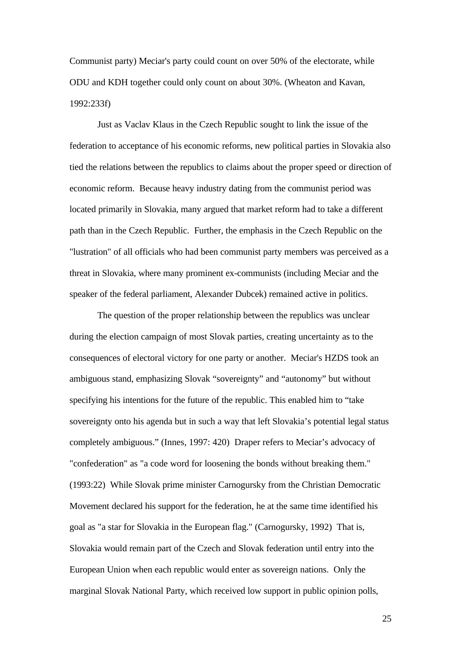Communist party) Meciar's party could count on over 50% of the electorate, while ODU and KDH together could only count on about 30%. (Wheaton and Kavan, 1992:233f)

Just as Vaclav Klaus in the Czech Republic sought to link the issue of the federation to acceptance of his economic reforms, new political parties in Slovakia also tied the relations between the republics to claims about the proper speed or direction of economic reform. Because heavy industry dating from the communist period was located primarily in Slovakia, many argued that market reform had to take a different path than in the Czech Republic. Further, the emphasis in the Czech Republic on the "lustration" of all officials who had been communist party members was perceived as a threat in Slovakia, where many prominent ex-communists (including Meciar and the speaker of the federal parliament, Alexander Dubcek) remained active in politics.

The question of the proper relationship between the republics was unclear during the election campaign of most Slovak parties, creating uncertainty as to the consequences of electoral victory for one party or another. Meciar's HZDS took an ambiguous stand, emphasizing Slovak "sovereignty" and "autonomy" but without specifying his intentions for the future of the republic. This enabled him to "take sovereignty onto his agenda but in such a way that left Slovakia's potential legal status completely ambiguous." (Innes, 1997: 420) Draper refers to Meciar's advocacy of "confederation" as "a code word for loosening the bonds without breaking them." (1993:22) While Slovak prime minister Carnogursky from the Christian Democratic Movement declared his support for the federation, he at the same time identified his goal as "a star for Slovakia in the European flag." (Carnogursky, 1992) That is, Slovakia would remain part of the Czech and Slovak federation until entry into the European Union when each republic would enter as sovereign nations. Only the marginal Slovak National Party, which received low support in public opinion polls,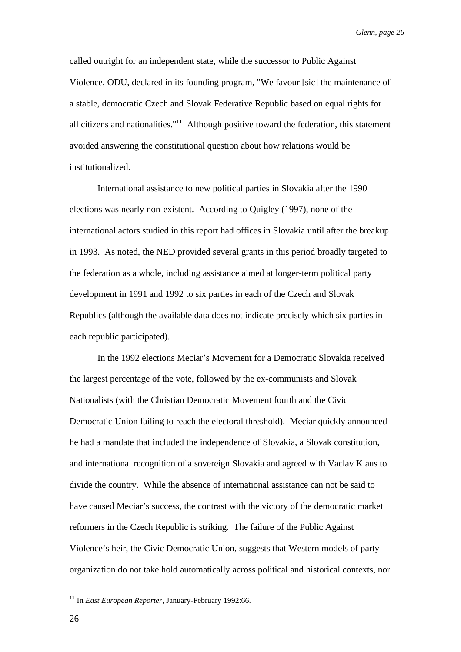called outright for an independent state, while the successor to Public Against Violence, ODU, declared in its founding program, "We favour [sic] the maintenance of a stable, democratic Czech and Slovak Federative Republic based on equal rights for all citizens and nationalities."<sup>11</sup> Although positive toward the federation, this statement avoided answering the constitutional question about how relations would be institutionalized.

International assistance to new political parties in Slovakia after the 1990 elections was nearly non-existent. According to Quigley (1997), none of the international actors studied in this report had offices in Slovakia until after the breakup in 1993. As noted, the NED provided several grants in this period broadly targeted to the federation as a whole, including assistance aimed at longer-term political party development in 1991 and 1992 to six parties in each of the Czech and Slovak Republics (although the available data does not indicate precisely which six parties in each republic participated).

In the 1992 elections Meciar's Movement for a Democratic Slovakia received the largest percentage of the vote, followed by the ex-communists and Slovak Nationalists (with the Christian Democratic Movement fourth and the Civic Democratic Union failing to reach the electoral threshold). Meciar quickly announced he had a mandate that included the independence of Slovakia, a Slovak constitution, and international recognition of a sovereign Slovakia and agreed with Vaclav Klaus to divide the country. While the absence of international assistance can not be said to have caused Meciar's success, the contrast with the victory of the democratic market reformers in the Czech Republic is striking. The failure of the Public Against Violence's heir, the Civic Democratic Union, suggests that Western models of party organization do not take hold automatically across political and historical contexts, nor

<sup>&</sup>lt;sup>11</sup> In *East European Reporter*, January-February 1992:66.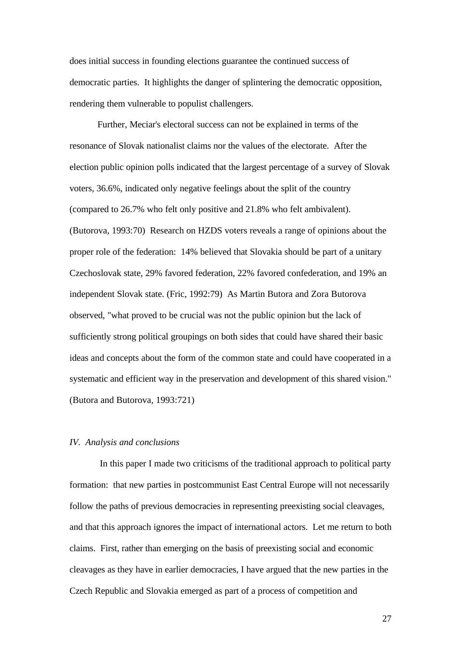does initial success in founding elections guarantee the continued success of democratic parties. It highlights the danger of splintering the democratic opposition, rendering them vulnerable to populist challengers.

Further, Meciar's electoral success can not be explained in terms of the resonance of Slovak nationalist claims nor the values of the electorate. After the election public opinion polls indicated that the largest percentage of a survey of Slovak voters, 36.6%, indicated only negative feelings about the split of the country (compared to 26.7% who felt only positive and 21.8% who felt ambivalent). (Butorova, 1993:70) Research on HZDS voters reveals a range of opinions about the proper role of the federation: 14% believed that Slovakia should be part of a unitary Czechoslovak state, 29% favored federation, 22% favored confederation, and 19% an independent Slovak state. (Fric, 1992:79) As Martin Butora and Zora Butorova observed, "what proved to be crucial was not the public opinion but the lack of sufficiently strong political groupings on both sides that could have shared their basic ideas and concepts about the form of the common state and could have cooperated in a systematic and efficient way in the preservation and development of this shared vision." (Butora and Butorova, 1993:721)

#### *IV. Analysis and conclusions*

 In this paper I made two criticisms of the traditional approach to political party formation: that new parties in postcommunist East Central Europe will not necessarily follow the paths of previous democracies in representing preexisting social cleavages, and that this approach ignores the impact of international actors. Let me return to both claims. First, rather than emerging on the basis of preexisting social and economic cleavages as they have in earlier democracies, I have argued that the new parties in the Czech Republic and Slovakia emerged as part of a process of competition and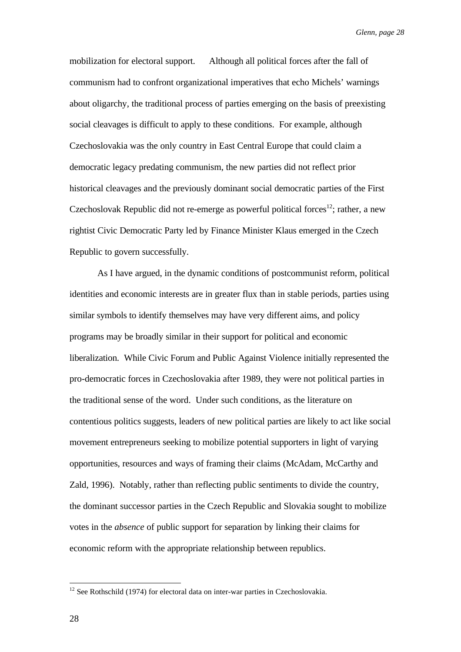mobilization for electoral support. Although all political forces after the fall of communism had to confront organizational imperatives that echo Michels' warnings about oligarchy, the traditional process of parties emerging on the basis of preexisting social cleavages is difficult to apply to these conditions. For example, although Czechoslovakia was the only country in East Central Europe that could claim a democratic legacy predating communism, the new parties did not reflect prior historical cleavages and the previously dominant social democratic parties of the First Czechoslovak Republic did not re-emerge as powerful political forces<sup>12</sup>; rather, a new rightist Civic Democratic Party led by Finance Minister Klaus emerged in the Czech Republic to govern successfully.

As I have argued, in the dynamic conditions of postcommunist reform, political identities and economic interests are in greater flux than in stable periods, parties using similar symbols to identify themselves may have very different aims, and policy programs may be broadly similar in their support for political and economic liberalization. While Civic Forum and Public Against Violence initially represented the pro-democratic forces in Czechoslovakia after 1989, they were not political parties in the traditional sense of the word. Under such conditions, as the literature on contentious politics suggests, leaders of new political parties are likely to act like social movement entrepreneurs seeking to mobilize potential supporters in light of varying opportunities, resources and ways of framing their claims (McAdam, McCarthy and Zald, 1996). Notably, rather than reflecting public sentiments to divide the country, the dominant successor parties in the Czech Republic and Slovakia sought to mobilize votes in the *absence* of public support for separation by linking their claims for economic reform with the appropriate relationship between republics.

 $12$  See Rothschild (1974) for electoral data on inter-war parties in Czechoslovakia.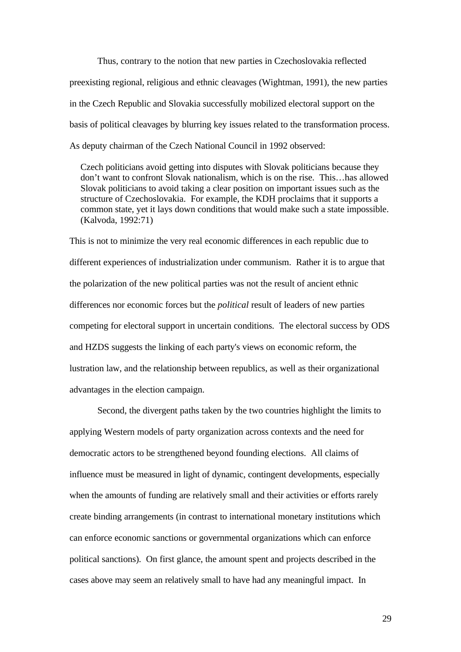Thus, contrary to the notion that new parties in Czechoslovakia reflected preexisting regional, religious and ethnic cleavages (Wightman, 1991), the new parties in the Czech Republic and Slovakia successfully mobilized electoral support on the basis of political cleavages by blurring key issues related to the transformation process. As deputy chairman of the Czech National Council in 1992 observed:

Czech politicians avoid getting into disputes with Slovak politicians because they don't want to confront Slovak nationalism, which is on the rise. This…has allowed Slovak politicians to avoid taking a clear position on important issues such as the structure of Czechoslovakia. For example, the KDH proclaims that it supports a common state, yet it lays down conditions that would make such a state impossible. (Kalvoda, 1992:71)

This is not to minimize the very real economic differences in each republic due to different experiences of industrialization under communism. Rather it is to argue that the polarization of the new political parties was not the result of ancient ethnic differences nor economic forces but the *political* result of leaders of new parties competing for electoral support in uncertain conditions. The electoral success by ODS and HZDS suggests the linking of each party's views on economic reform, the lustration law, and the relationship between republics, as well as their organizational advantages in the election campaign.

Second, the divergent paths taken by the two countries highlight the limits to applying Western models of party organization across contexts and the need for democratic actors to be strengthened beyond founding elections. All claims of influence must be measured in light of dynamic, contingent developments, especially when the amounts of funding are relatively small and their activities or efforts rarely create binding arrangements (in contrast to international monetary institutions which can enforce economic sanctions or governmental organizations which can enforce political sanctions). On first glance, the amount spent and projects described in the cases above may seem an relatively small to have had any meaningful impact. In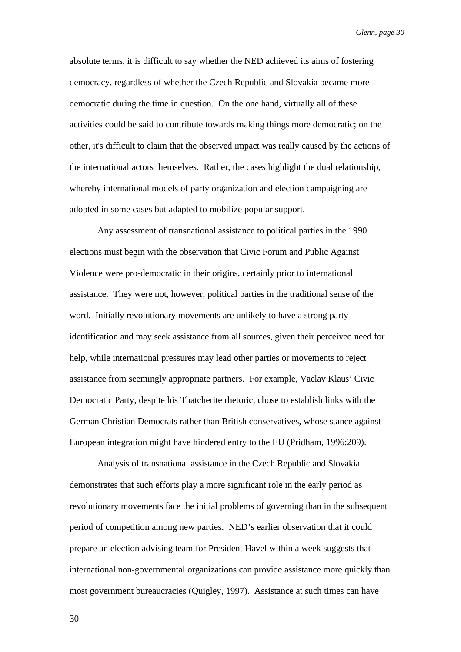absolute terms, it is difficult to say whether the NED achieved its aims of fostering democracy, regardless of whether the Czech Republic and Slovakia became more democratic during the time in question. On the one hand, virtually all of these activities could be said to contribute towards making things more democratic; on the other, it's difficult to claim that the observed impact was really caused by the actions of the international actors themselves. Rather, the cases highlight the dual relationship, whereby international models of party organization and election campaigning are adopted in some cases but adapted to mobilize popular support.

Any assessment of transnational assistance to political parties in the 1990 elections must begin with the observation that Civic Forum and Public Against Violence were pro-democratic in their origins, certainly prior to international assistance. They were not, however, political parties in the traditional sense of the word. Initially revolutionary movements are unlikely to have a strong party identification and may seek assistance from all sources, given their perceived need for help, while international pressures may lead other parties or movements to reject assistance from seemingly appropriate partners. For example, Vaclav Klaus' Civic Democratic Party, despite his Thatcherite rhetoric, chose to establish links with the German Christian Democrats rather than British conservatives, whose stance against European integration might have hindered entry to the EU (Pridham, 1996:209).

Analysis of transnational assistance in the Czech Republic and Slovakia demonstrates that such efforts play a more significant role in the early period as revolutionary movements face the initial problems of governing than in the subsequent period of competition among new parties. NED's earlier observation that it could prepare an election advising team for President Havel within a week suggests that international non-governmental organizations can provide assistance more quickly than most government bureaucracies (Quigley, 1997). Assistance at such times can have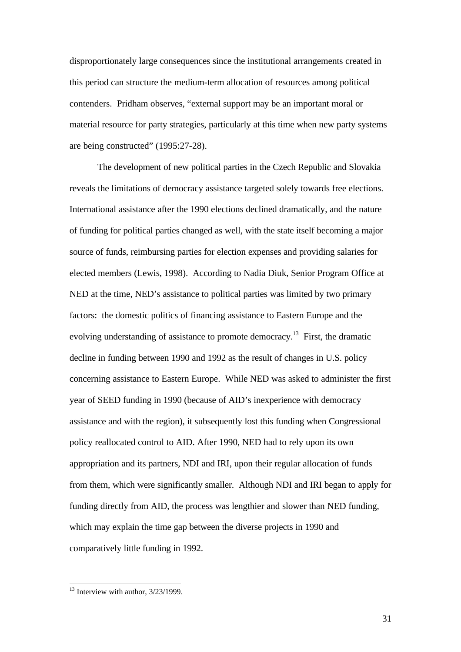disproportionately large consequences since the institutional arrangements created in this period can structure the medium-term allocation of resources among political contenders. Pridham observes, "external support may be an important moral or material resource for party strategies, particularly at this time when new party systems are being constructed" (1995:27-28).

The development of new political parties in the Czech Republic and Slovakia reveals the limitations of democracy assistance targeted solely towards free elections. International assistance after the 1990 elections declined dramatically, and the nature of funding for political parties changed as well, with the state itself becoming a major source of funds, reimbursing parties for election expenses and providing salaries for elected members (Lewis, 1998). According to Nadia Diuk, Senior Program Office at NED at the time, NED's assistance to political parties was limited by two primary factors: the domestic politics of financing assistance to Eastern Europe and the evolving understanding of assistance to promote democracy.<sup>13</sup> First, the dramatic decline in funding between 1990 and 1992 as the result of changes in U.S. policy concerning assistance to Eastern Europe. While NED was asked to administer the first year of SEED funding in 1990 (because of AID's inexperience with democracy assistance and with the region), it subsequently lost this funding when Congressional policy reallocated control to AID. After 1990, NED had to rely upon its own appropriation and its partners, NDI and IRI, upon their regular allocation of funds from them, which were significantly smaller. Although NDI and IRI began to apply for funding directly from AID, the process was lengthier and slower than NED funding, which may explain the time gap between the diverse projects in 1990 and comparatively little funding in 1992.

 $13$  Interview with author,  $3/23/1999$ .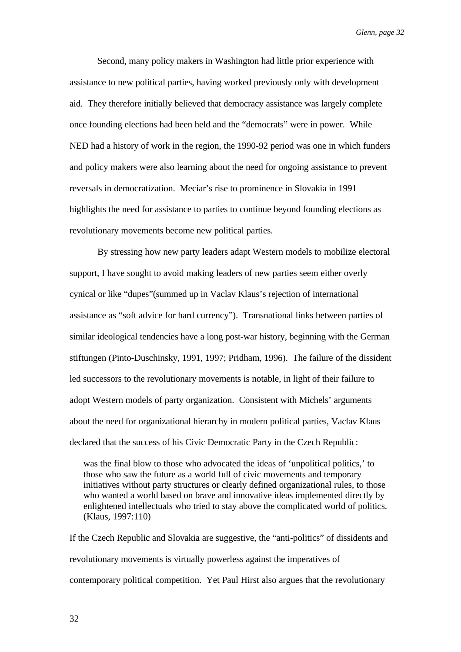Second, many policy makers in Washington had little prior experience with assistance to new political parties, having worked previously only with development aid. They therefore initially believed that democracy assistance was largely complete once founding elections had been held and the "democrats" were in power. While NED had a history of work in the region, the 1990-92 period was one in which funders and policy makers were also learning about the need for ongoing assistance to prevent reversals in democratization. Meciar's rise to prominence in Slovakia in 1991 highlights the need for assistance to parties to continue beyond founding elections as revolutionary movements become new political parties.

By stressing how new party leaders adapt Western models to mobilize electoral support, I have sought to avoid making leaders of new parties seem either overly cynical or like "dupes"(summed up in Vaclav Klaus's rejection of international assistance as "soft advice for hard currency"). Transnational links between parties of similar ideological tendencies have a long post-war history, beginning with the German stiftungen (Pinto-Duschinsky, 1991, 1997; Pridham, 1996). The failure of the dissident led successors to the revolutionary movements is notable, in light of their failure to adopt Western models of party organization. Consistent with Michels' arguments about the need for organizational hierarchy in modern political parties, Vaclav Klaus declared that the success of his Civic Democratic Party in the Czech Republic:

was the final blow to those who advocated the ideas of 'unpolitical politics,' to those who saw the future as a world full of civic movements and temporary initiatives without party structures or clearly defined organizational rules, to those who wanted a world based on brave and innovative ideas implemented directly by enlightened intellectuals who tried to stay above the complicated world of politics. (Klaus, 1997:110)

If the Czech Republic and Slovakia are suggestive, the "anti-politics" of dissidents and revolutionary movements is virtually powerless against the imperatives of contemporary political competition. Yet Paul Hirst also argues that the revolutionary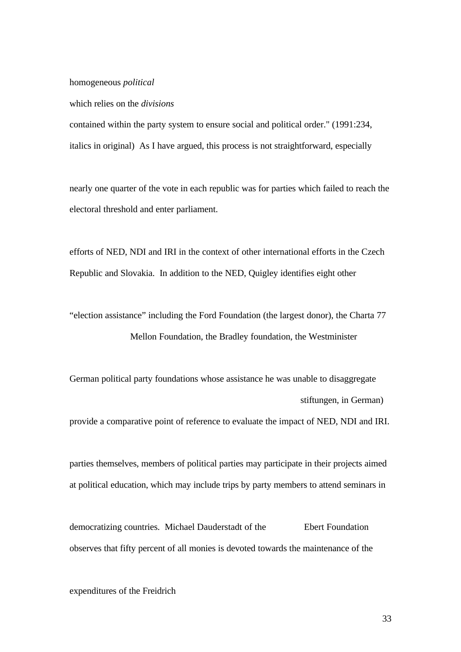#### homogeneous *political*

which relies on the *divisions*

contained within the party system to ensure social and political order." (1991:234, italics in original) As I have argued, this process is not straightforward, especially

nearly one quarter of the vote in each republic was for parties which failed to reach the electoral threshold and enter parliament.

efforts of NED, NDI and IRI in the context of other international efforts in the Czech Republic and Slovakia. In addition to the NED, Quigley identifies eight other

"election assistance" including the Ford Foundation (the largest donor), the Charta 77 Mellon Foundation, the Bradley foundation, the Westminister

German political party foundations whose assistance he was unable to disaggregate stiftungen, in German)

provide a comparative point of reference to evaluate the impact of NED, NDI and IRI.

parties themselves, members of political parties may participate in their projects aimed at political education, which may include trips by party members to attend seminars in

democratizing countries. Michael Dauderstadt of the Ebert Foundation observes that fifty percent of all monies is devoted towards the maintenance of the

expenditures of the Freidrich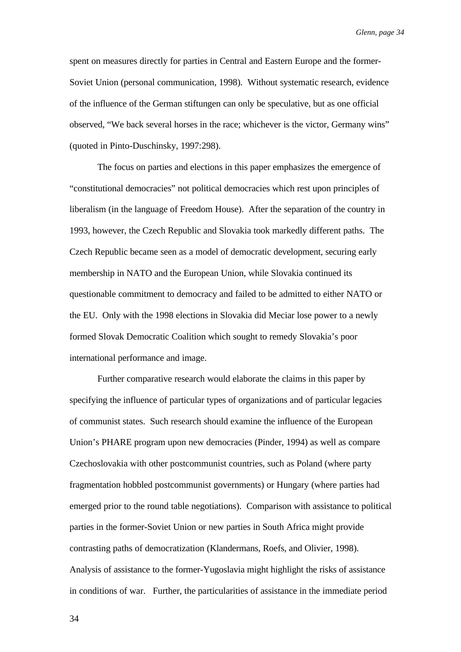spent on measures directly for parties in Central and Eastern Europe and the former-Soviet Union (personal communication, 1998). Without systematic research, evidence of the influence of the German stiftungen can only be speculative, but as one official observed, "We back several horses in the race; whichever is the victor, Germany wins" (quoted in Pinto-Duschinsky, 1997:298).

The focus on parties and elections in this paper emphasizes the emergence of "constitutional democracies" not political democracies which rest upon principles of liberalism (in the language of Freedom House). After the separation of the country in 1993, however, the Czech Republic and Slovakia took markedly different paths. The Czech Republic became seen as a model of democratic development, securing early membership in NATO and the European Union, while Slovakia continued its questionable commitment to democracy and failed to be admitted to either NATO or the EU. Only with the 1998 elections in Slovakia did Meciar lose power to a newly formed Slovak Democratic Coalition which sought to remedy Slovakia's poor international performance and image.

Further comparative research would elaborate the claims in this paper by specifying the influence of particular types of organizations and of particular legacies of communist states. Such research should examine the influence of the European Union's PHARE program upon new democracies (Pinder, 1994) as well as compare Czechoslovakia with other postcommunist countries, such as Poland (where party fragmentation hobbled postcommunist governments) or Hungary (where parties had emerged prior to the round table negotiations). Comparison with assistance to political parties in the former-Soviet Union or new parties in South Africa might provide contrasting paths of democratization (Klandermans, Roefs, and Olivier, 1998). Analysis of assistance to the former-Yugoslavia might highlight the risks of assistance in conditions of war. Further, the particularities of assistance in the immediate period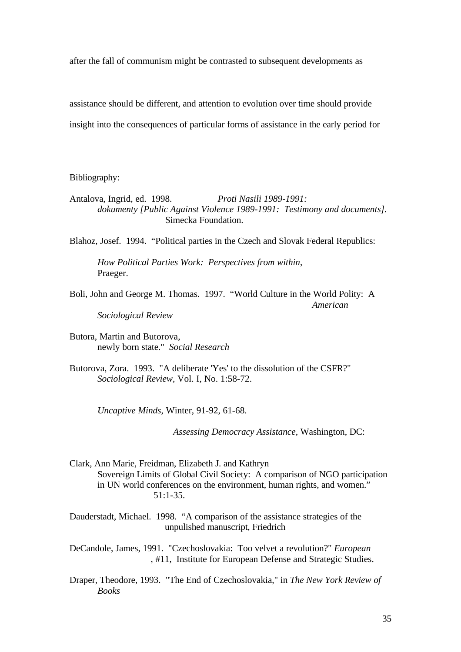after the fall of communism might be contrasted to subsequent developments as

assistance should be different, and attention to evolution over time should provide insight into the consequences of particular forms of assistance in the early period for

Bibliography:

Antalova, Ingrid, ed. 1998. *Proti Nasili 1989-1991: dokumenty [Public Against Violence 1989-1991: Testimony and documents]*. Simecka Foundation.

Blahoz, Josef. 1994. "Political parties in the Czech and Slovak Federal Republics:

*How Political Parties Work: Perspectives from within*, Praeger.

Boli, John and George M. Thomas. 1997. "World Culture in the World Polity: A *American*

*Sociological Review*

Butora, Martin and Butorova, newly born state." *Social Research*

Butorova, Zora. 1993. "A deliberate 'Yes' to the dissolution of the CSFR?" *Sociological Review*, Vol. I, No. 1:58-72.

*Uncaptive Minds*, Winter, 91-92, 61-68.

*Assessing Democracy Assistance*, Washington, DC:

Clark, Ann Marie, Freidman, Elizabeth J. and Kathryn Sovereign Limits of Global Civil Society: A comparison of NGO participation in UN world conferences on the environment, human rights, and women." 51:1-35.

Dauderstadt, Michael. 1998. "A comparison of the assistance strategies of the unpulished manuscript, Friedrich

DeCandole, James, 1991. "Czechoslovakia: Too velvet a revolution?" *European* , #11, Institute for European Defense and Strategic Studies.

Draper, Theodore, 1993. "The End of Czechoslovakia," in *The New York Review of Books*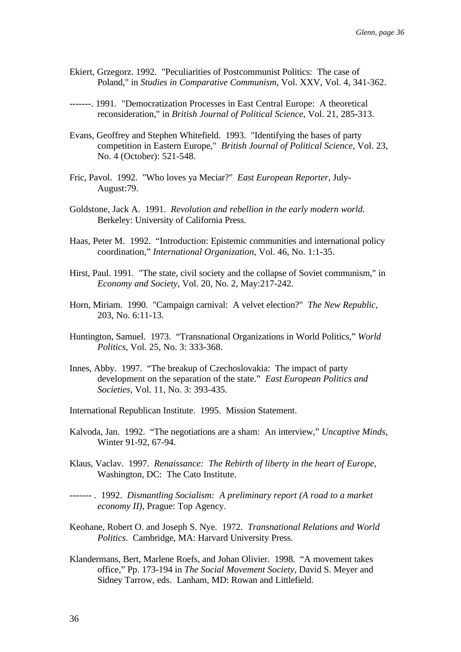- Ekiert, Grzegorz. 1992. "Peculiarities of Postcommunist Politics: The case of Poland," in *Studies in Comparative Communism*, Vol. XXV, Vol. 4, 341-362.
- -------. 1991. "Democratization Processes in East Central Europe: A theoretical reconsideration," in *British Journal of Political Science*, Vol. 21, 285-313.
- Evans, Geoffrey and Stephen Whitefield. 1993. "Identifying the bases of party competition in Eastern Europe," *British Journal of Political Science*, Vol. 23, No. 4 (October): 521-548.
- Fric, Pavol. 1992. "Who loves ya Meciar?" *East European Reporter*, July-August:79.
- Goldstone, Jack A. 1991. *Revolution and rebellion in the early modern world*. Berkeley: University of California Press.
- Haas, Peter M. 1992. "Introduction: Epistemic communities and international policy coordination," *International Organization*, Vol. 46, No. 1:1-35.
- Hirst, Paul. 1991. "The state, civil society and the collapse of Soviet communism," in *Economy and Society*, Vol. 20, No. 2, May:217-242.
- Horn, Miriam. 1990. "Campaign carnival: A velvet election?" *The New Republic*, 203, No. 6:11-13.
- Huntington, Samuel. 1973. "Transnational Organizations in World Politics," *World Politics*, Vol. 25, No. 3: 333-368.
- Innes, Abby. 1997. "The breakup of Czechoslovakia: The impact of party development on the separation of the state." *East European Politics and Societies*, Vol. 11, No. 3: 393-435.
- International Republican Institute. 1995. Mission Statement.
- Kalvoda, Jan. 1992. "The negotiations are a sham: An interview," *Uncaptive Minds*, Winter 91-92, 67-94.
- Klaus, Vaclav. 1997. *Renaissance: The Rebirth of liberty in the heart of Europe*, Washington, DC: The Cato Institute.
- ------- . 1992. *Dismantling Socialism: A preliminary report (A road to a market economy II)*, Prague: Top Agency.
- Keohane, Robert O. and Joseph S. Nye. 1972. *Transnational Relations and World Politics*. Cambridge, MA: Harvard University Press.
- Klandermans, Bert, Marlene Roefs, and Johan Olivier. 1998. "A movement takes office," Pp. 173-194 in *The Social Movement Society*, David S. Meyer and Sidney Tarrow, eds. Lanham, MD: Rowan and Littlefield.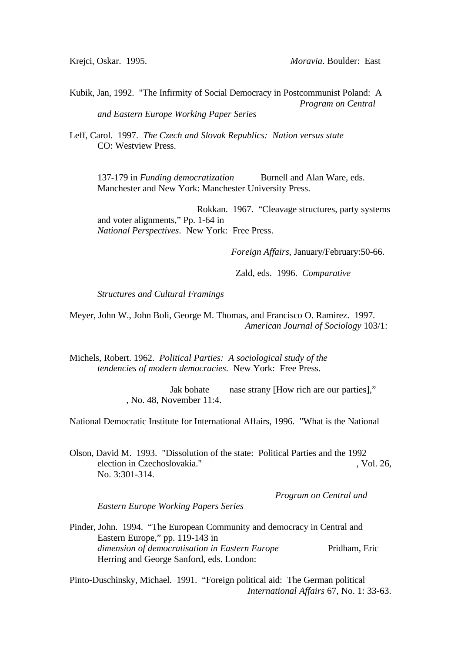Kubik, Jan, 1992. "The Infirmity of Social Democracy in Postcommunist Poland: A *Program on Central and Eastern Europe Working Paper Series*

Leff, Carol. 1997. *The Czech and Slovak Republics: Nation versus state* CO: Westview Press.

> 137-179 in *Funding democratization* Burnell and Alan Ware, eds. Manchester and New York: Manchester University Press.

Rokkan. 1967. "Cleavage structures, party systems and voter alignments," Pp. 1-64 in *National Perspectives*. New York: Free Press.

*Foreign Affairs*, January/February:50-66.

Zald, eds. 1996. *Comparative*

*Structures and Cultural Framings*

Meyer, John W., John Boli, George M. Thomas, and Francisco O. Ramirez. 1997. *American Journal of Sociology* 103/1:

Michels, Robert. 1962. *Political Parties: A sociological study of the tendencies of modern democracies*. New York: Free Press.

> Jak bohate nase strany [How rich are our parties]," , No. 48, November 11:4.

National Democratic Institute for International Affairs, 1996. "What is the National

Olson, David M. 1993. "Dissolution of the state: Political Parties and the 1992 election in Czechoslovakia." , Vol. 26, which is not considered as  $\sim$  Vol. 26, which is not considered as  $\sim$  Vol. 26, which is not considered as  $\sim$  100. 26, which is not considered as  $\sim$  100. 26, which is not consi No. 3:301-314.

*Program on Central and*

*Eastern Europe Working Papers Series*

Pinder, John. 1994. "The European Community and democracy in Central and Eastern Europe," pp. 119-143 in *dimension of democratisation in Eastern Europe* Pridham, Eric Herring and George Sanford, eds. London:

Pinto-Duschinsky, Michael. 1991. "Foreign political aid: The German political *International Affairs* 67, No. 1: 33-63.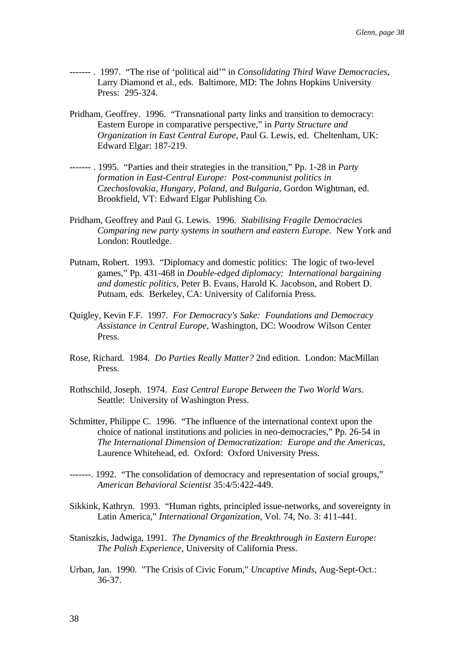- ------- . 1997. "The rise of 'political aid'" in *Consolidating Third Wave Democracies*, Larry Diamond et al., eds. Baltimore, MD: The Johns Hopkins University Press: 295-324.
- Pridham, Geoffrey. 1996. "Transnational party links and transition to democracy: Eastern Europe in comparative perspective," in *Party Structure and Organization in East Central Europe*, Paul G. Lewis, ed. Cheltenham, UK: Edward Elgar: 187-219.
- ------- . 1995. "Parties and their strategies in the transition," Pp. 1-28 in *Party formation in East-Central Europe: Post-communist politics in Czechoslovakia, Hungary, Poland, and Bulgaria*, Gordon Wightman, ed. Brookfield, VT: Edward Elgar Publishing Co.
- Pridham, Geoffrey and Paul G. Lewis. 1996. *Stabilising Fragile Democracies Comparing new party systems in southern and eastern Europe*. New York and London: Routledge.
- Putnam, Robert. 1993. "Diplomacy and domestic politics: The logic of two-level games," Pp. 431-468 in *Double-edged diplomacy: International bargaining and domestic politics*, Peter B. Evans, Harold K. Jacobson, and Robert D. Putnam, eds. Berkeley, CA: University of California Press.
- Quigley, Kevin F.F. 1997. *For Democracy's Sake: Foundations and Democracy Assistance in Central Europe*, Washington, DC: Woodrow Wilson Center Press.
- Rose, Richard. 1984. *Do Parties Really Matter?* 2nd edition. London: MacMillan Press.
- Rothschild, Joseph. 1974. *East Central Europe Between the Two World Wars*. Seattle: University of Washington Press.
- Schmitter, Philippe C. 1996. "The influence of the international context upon the choice of national institutions and policies in neo-democracies," Pp. 26-54 in *The International Dimension of Democratization: Europe and the Americas*, Laurence Whitehead, ed. Oxford: Oxford University Press.
- -------. 1992. "The consolidation of democracy and representation of social groups," *American Behavioral Scientist* 35:4/5:422-449.
- Sikkink, Kathryn. 1993. "Human rights, principled issue-networks, and sovereignty in Latin America," *International Organization*, Vol. 74, No. 3: 411-441.
- Staniszkis, Jadwiga, 1991. *The Dynamics of the Breakthrough in Eastern Europe: The Polish Experience*, University of California Press.
- Urban, Jan. 1990. "The Crisis of Civic Forum," *Uncaptive Minds*, Aug-Sept-Oct.: 36-37.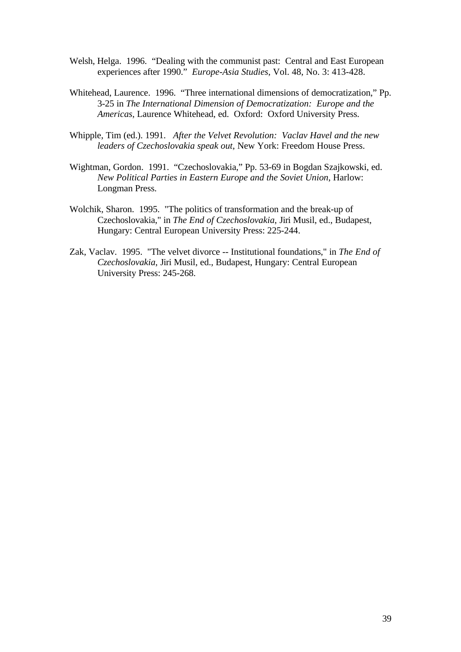- Welsh, Helga. 1996. "Dealing with the communist past: Central and East European experiences after 1990." *Europe-Asia Studies*, Vol. 48, No. 3: 413-428.
- Whitehead, Laurence. 1996. "Three international dimensions of democratization," Pp. 3-25 in *The International Dimension of Democratization: Europe and the Americas*, Laurence Whitehead, ed. Oxford: Oxford University Press.
- Whipple, Tim (ed.). 1991. *After the Velvet Revolution: Vaclav Havel and the new leaders of Czechoslovakia speak out*, New York: Freedom House Press.
- Wightman, Gordon. 1991. "Czechoslovakia," Pp. 53-69 in Bogdan Szajkowski, ed. *New Political Parties in Eastern Europe and the Soviet Union*, Harlow: Longman Press.
- Wolchik, Sharon. 1995. "The politics of transformation and the break-up of Czechoslovakia," in *The End of Czechoslovakia*, Jiri Musil, ed., Budapest, Hungary: Central European University Press: 225-244.
- Zak, Vaclav. 1995. "The velvet divorce -- Institutional foundations," in *The End of Czechoslovakia*, Jiri Musil, ed., Budapest, Hungary: Central European University Press: 245-268.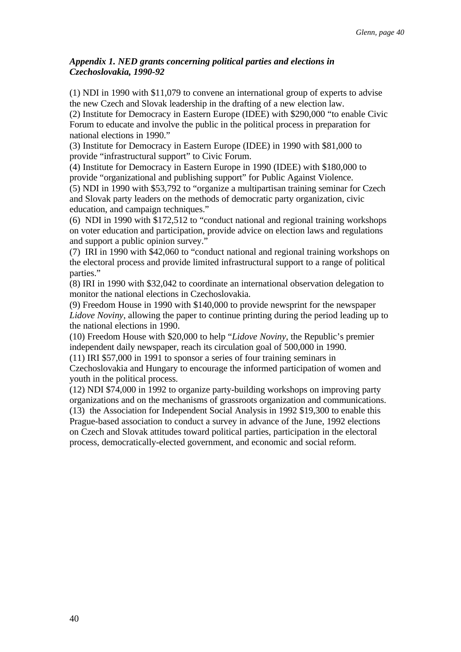#### *Appendix 1. NED grants concerning political parties and elections in Czechoslovakia, 1990-92*

(1) NDI in 1990 with \$11,079 to convene an international group of experts to advise the new Czech and Slovak leadership in the drafting of a new election law.

(2) Institute for Democracy in Eastern Europe (IDEE) with \$290,000 "to enable Civic Forum to educate and involve the public in the political process in preparation for national elections in 1990."

(3) Institute for Democracy in Eastern Europe (IDEE) in 1990 with \$81,000 to provide "infrastructural support" to Civic Forum.

(4) Institute for Democracy in Eastern Europe in 1990 (IDEE) with \$180,000 to provide "organizational and publishing support" for Public Against Violence.

(5) NDI in 1990 with \$53,792 to "organize a multipartisan training seminar for Czech and Slovak party leaders on the methods of democratic party organization, civic education, and campaign techniques."

(6) NDI in 1990 with \$172,512 to "conduct national and regional training workshops on voter education and participation, provide advice on election laws and regulations and support a public opinion survey."

(7) IRI in 1990 with \$42,060 to "conduct national and regional training workshops on the electoral process and provide limited infrastructural support to a range of political parties."

(8) IRI in 1990 with \$32,042 to coordinate an international observation delegation to monitor the national elections in Czechoslovakia.

(9) Freedom House in 1990 with \$140,000 to provide newsprint for the newspaper *Lidove Noviny*, allowing the paper to continue printing during the period leading up to the national elections in 1990.

(10) Freedom House with \$20,000 to help "*Lidove Noviny*, the Republic's premier independent daily newspaper, reach its circulation goal of 500,000 in 1990.

(11) IRI \$57,000 in 1991 to sponsor a series of four training seminars in

Czechoslovakia and Hungary to encourage the informed participation of women and youth in the political process.

(12) NDI \$74,000 in 1992 to organize party-building workshops on improving party organizations and on the mechanisms of grassroots organization and communications. (13) the Association for Independent Social Analysis in 1992 \$19,300 to enable this Prague-based association to conduct a survey in advance of the June, 1992 elections on Czech and Slovak attitudes toward political parties, participation in the electoral process, democratically-elected government, and economic and social reform.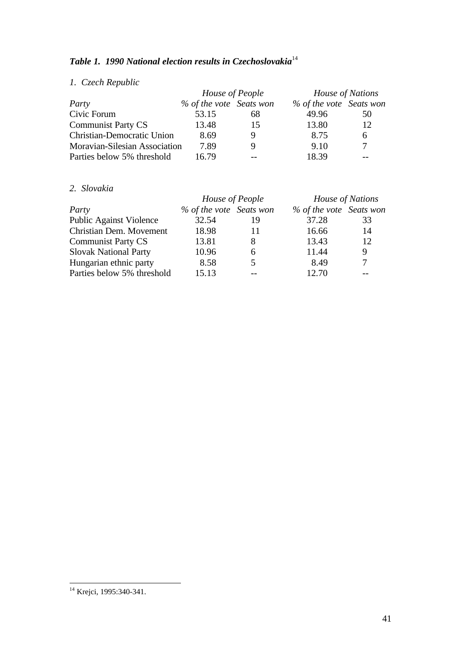## *Table 1. 1990 National election results in Czechoslovakia*<sup>14</sup>

## *1. Czech Republic*

|                               | House of People         |    | House of Nations        |       |
|-------------------------------|-------------------------|----|-------------------------|-------|
| Party                         | % of the vote Seats won |    | % of the vote Seats won |       |
| Civic Forum                   | 53.15                   | 68 | 49.96                   | 50    |
| <b>Communist Party CS</b>     | 13.48                   | 15 | 13.80                   | 12    |
| Christian-Democratic Union    | 8.69                    |    | 8.75                    | 6     |
| Moravian-Silesian Association | 7.89                    |    | 9.10                    | 7     |
| Parties below 5% threshold    | 16.79                   |    | 18.39                   | $- -$ |

#### *2. Slovakia*

|                                | House of People         |    | House of Nations        |    |
|--------------------------------|-------------------------|----|-------------------------|----|
| Party                          | % of the vote Seats won |    | % of the vote Seats won |    |
| <b>Public Against Violence</b> | 32.54                   | 19 | 37.28                   | 33 |
| Christian Dem. Movement        | 18.98                   | 11 | 16.66                   | 14 |
| <b>Communist Party CS</b>      | 13.81                   | 8  | 13.43                   | 12 |
| <b>Slovak National Party</b>   | 10.96                   | 6  | 11.44                   | 9  |
| Hungarian ethnic party         | 8.58                    |    | 8.49                    | 7  |
| Parties below 5% threshold     | 15.13                   |    | 12.70                   |    |

<sup>&</sup>lt;sup>14</sup> Krejci, 1995:340-341.